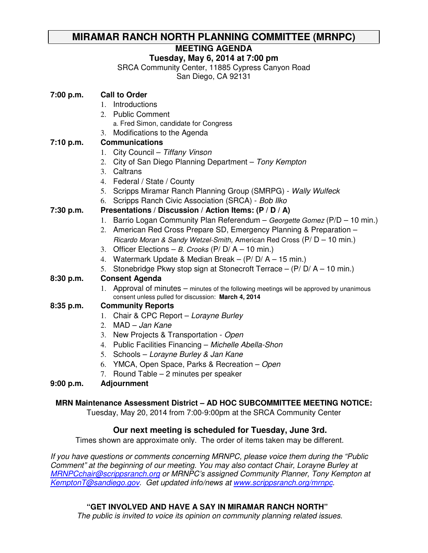# **MIRAMAR RANCH NORTH PLANNING COMMITTEE (MRNPC)**

# **MEETING AGENDA**

# **Tuesday, May 6, 2014 at 7:00 pm**

SRCA Community Center, 11885 Cypress Canyon Road San Diego, CA 92131

|                                                               | <b>Call to Order</b>                                                                                                                            |
|---------------------------------------------------------------|-------------------------------------------------------------------------------------------------------------------------------------------------|
|                                                               | Introductions<br>$1_{-}$                                                                                                                        |
|                                                               | <b>Public Comment</b><br>2.                                                                                                                     |
|                                                               | a. Fred Simon, candidate for Congress                                                                                                           |
|                                                               | Modifications to the Agenda<br>3.                                                                                                               |
| 7:00 p.m.<br>7:10 p.m.<br>7:30 p.m.<br>8:30 p.m.<br>8:35 p.m. | <b>Communications</b>                                                                                                                           |
|                                                               | City Council - Tiffany Vinson<br>1.                                                                                                             |
|                                                               | City of San Diego Planning Department - Tony Kempton<br>2.                                                                                      |
|                                                               | Caltrans<br>3 <sub>1</sub>                                                                                                                      |
|                                                               | Federal / State / County<br>4.                                                                                                                  |
|                                                               | Scripps Miramar Ranch Planning Group (SMRPG) - Wally Wulfeck<br>5.                                                                              |
|                                                               | Scripps Ranch Civic Association (SRCA) - Bob Ilko<br>6.                                                                                         |
|                                                               | Presentations / Discussion / Action Items: (P / D / A)                                                                                          |
|                                                               | Barrio Logan Community Plan Referendum - Georgette Gomez (P/D - 10 min.)<br>1.                                                                  |
|                                                               | American Red Cross Prepare SD, Emergency Planning & Preparation -<br>2.                                                                         |
|                                                               | Ricardo Moran & Sandy Wetzel-Smith, American Red Cross (P/ D - 10 min.)                                                                         |
|                                                               | Officer Elections - B. Crooks (P/ D/ A - 10 min.)<br>3.                                                                                         |
|                                                               | Watermark Update & Median Break $-$ (P/D/A $-$ 15 min.)<br>4.                                                                                   |
|                                                               | 5. Stonebridge Pkwy stop sign at Stonecroft Terrace - (P/D/A - 10 min.)                                                                         |
|                                                               | <b>Consent Agenda</b>                                                                                                                           |
|                                                               | 1. Approval of minutes - minutes of the following meetings will be approved by unanimous<br>consent unless pulled for discussion: March 4, 2014 |
|                                                               | <b>Community Reports</b>                                                                                                                        |
|                                                               | 1. Chair & CPC Report - Lorayne Burley                                                                                                          |
|                                                               | MAD - Jan Kane<br>$2^{+}$                                                                                                                       |
|                                                               | New Projects & Transportation - Open<br>3.                                                                                                      |
|                                                               | Public Facilities Financing - Michelle Abella-Shon<br>4.                                                                                        |
|                                                               | Schools - Lorayne Burley & Jan Kane<br>5.                                                                                                       |
|                                                               | YMCA, Open Space, Parks & Recreation – Open<br>6.                                                                                               |
|                                                               | 7. Round Table – 2 minutes per speaker                                                                                                          |
|                                                               |                                                                                                                                                 |

# **9:00 p.m. Adjournment**

## **MRN Maintenance Assessment District – AD HOC SUBCOMMITTEE MEETING NOTICE:**

Tuesday, May 20, 2014 from 7:00-9:00pm at the SRCA Community Center

# **Our next meeting is scheduled for Tuesday, June 3rd.**

Times shown are approximate only. The order of items taken may be different.

If you have questions or comments concerning MRNPC, please voice them during the "Public Comment" at the beginning of our meeting. You may also contact Chair, Lorayne Burley at MRNPCchair@scrippsranch.org or MRNPC's assigned Community Planner, Tony Kempton at KemptonT@sandiego.gov. Get updated info/news at www.scrippsranch.org/mrnpc.

# **"GET INVOLVED AND HAVE A SAY IN MIRAMAR RANCH NORTH"**

The public is invited to voice its opinion on community planning related issues.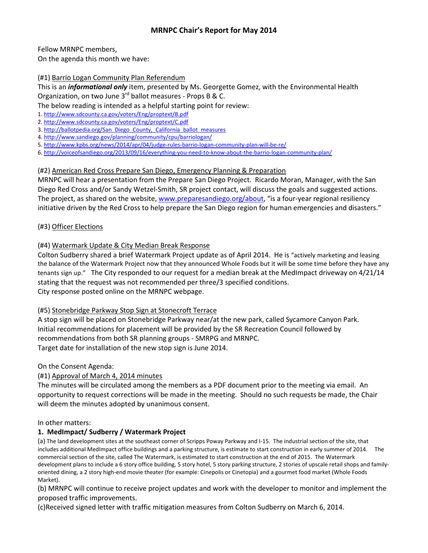Fellow MRNPC members,

On the agenda this month we have:

#### (#1) Barrio Logan Community Plan Referendum

This is an *informational only* item, presented by Ms. Georgette Gomez, with the Environmental Health Organization, on two June  $3<sup>rd</sup>$  ballot measures - Props B & C.

The below reading is intended as a helpful starting point for review:

1. http://www.sdcounty.ca.gov/voters/Eng/proptext/B.pdf

- 2. http://www.sdcounty.ca.gov/voters/Eng/proptext/C.pdf
- 3. http://ballotpedia.org/San\_Diego\_County, California\_ballot\_measures
- 4. http://www.sandiego.gov/planning/community/cpu/barriologan/
- 5. http://www.kpbs.org/news/2014/apr/04/judge-rules-barrio-logan-community-plan-will-be-re/
- 6. http://voiceofsandiego.org/2013/09/16/everything-you-need-to-know-about-the-barrio-logan-community-plan/

## (#2) American Red Cross Prepare San Diego, Emergency Planning & Preparation

MRNPC will hear a presentation from the Prepare San Diego Project. Ricardo Moran, Manager, with the San Diego Red Cross and/or Sandy Wetzel-Smith, SR project contact, will discuss the goals and suggested actions. The project, as shared on the website, www.preparesandiego.org/about, "is a four-year regional resiliency initiative driven by the Red Cross to help prepare the San Diego region for human emergencies and disasters."

## (#3) Officer Elections

## (#4) Watermark Update & City Median Break Response

Colton Sudberry shared a brief Watermark Project update as of April 2014. He is "actively marketing and leasing the balance of the Watermark Project now that they announced Whole Foods but it will be some time before they have any tenants sign up." The City responded to our request for a median break at the MedImpact driveway on 4/21/14 stating that the request was not recommended per three/3 specified conditions. City response posted online on the MRNPC webpage.

## (#5) Stonebridge Parkway Stop Sign at Stonecroft Terrace

A stop sign will be placed on Stonebridge Parkway near/at the new park, called Sycamore Canyon Park. Initial recommendations for placement will be provided by the SR Recreation Council followed by recommendations from both SR planning groups - SMRPG and MRNPC. Target date for installation of the new stop sign is June 2014.

On the Consent Agenda:

## (#1) Approval of March 4, 2014 minutes

The minutes will be circulated among the members as a PDF document prior to the meeting via email. An opportunity to request corrections will be made in the meeting. Should no such requests be made, the Chair will deem the minutes adopted by unanimous consent.

## In other matters:

## 1. MedImpact/ Sudberry / Watermark Project

(a) The land development sites at the southeast corner of Scripps Poway Parkway and I-15. The industrial section of the site, that includes additional MedImpact office buildings and a parking structure, is estimate to start construction in early summer of 2014. The commercial section of the site, called The Watermark, is estimated to start construction at the end of 2015. The Watermark development plans to include a 6 story office building, 5 story hotel, 5 story parking structure, 2 stories of upscale retail shops and familyoriented dining, a 2 story high-end movie theater (for example: Cinepolis or Cinetopia) and a gourmet food market (Whole Foods Market).

(b) MRNPC will continue to receive project updates and work with the developer to monitor and implement the proposed traffic improvements.

(c)Received signed letter with traffic mitigation measures from Colton Sudberry on March 6, 2014.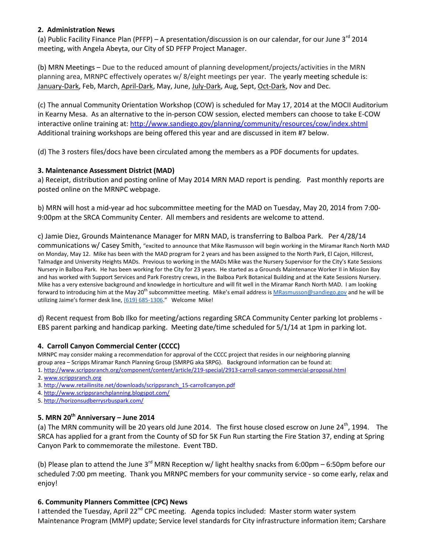#### 2. Administration News

(a) Public Facility Finance Plan (PFFP) – A presentation/discussion is on our calendar, for our June 3<sup>rd</sup> 2014 meeting, with Angela Abeyta, our City of SD PFFP Project Manager.

(b) MRN Meetings – Due to the reduced amount of planning development/projects/activities in the MRN planning area, MRNPC effectively operates w/ 8/eight meetings per year. The yearly meeting schedule is: January-Dark, Feb, March, April-Dark, May, June, July-Dark, Aug, Sept, Oct-Dark, Nov and Dec.

(c) The annual Community Orientation Workshop (COW) is scheduled for May 17, 2014 at the MOCII Auditorium in Kearny Mesa. As an alternative to the in-person COW session, elected members can choose to take E-COW interactive online training at: http://www.sandiego.gov/planning/community/resources/cow/index.shtml Additional training workshops are being offered this year and are discussed in item #7 below.

(d) The 3 rosters files/docs have been circulated among the members as a PDF documents for updates.

#### 3. Maintenance Assessment District (MAD)

a) Receipt, distribution and posting online of May 2014 MRN MAD report is pending. Past monthly reports are posted online on the MRNPC webpage.

b) MRN will host a mid-year ad hoc subcommittee meeting for the MAD on Tuesday, May 20, 2014 from 7:00- 9:00pm at the SRCA Community Center. All members and residents are welcome to attend.

c) Jamie Diez, Grounds Maintenance Manager for MRN MAD, is transferring to Balboa Park. Per 4/28/14 communications w/ Casey Smith, "excited to announce that Mike Rasmusson will begin working in the Miramar Ranch North MAD on Monday, May 12. Mike has been with the MAD program for 2 years and has been assigned to the North Park, El Cajon, Hillcrest, Talmadge and University Heights MADs. Previous to working in the MADs Mike was the Nursery Supervisor for the City's Kate Sessions Nursery in Balboa Park. He has been working for the City for 23 years. He started as a Grounds Maintenance Worker II in Mission Bay and has worked with Support Services and Park Forestry crews, in the Balboa Park Botanical Building and at the Kate Sessions Nursery. Mike has a very extensive background and knowledge in horticulture and will fit well in the Miramar Ranch North MAD. I am looking forward to introducing him at the May 20<sup>th</sup> subcommittee meeting. Mike's email address is MRasmusson@sandiego.gov and he will be utilizing Jaime's former desk line, (619) 685-1306." Welcome Mike!

d) Recent request from Bob Ilko for meeting/actions regarding SRCA Community Center parking lot problems - EBS parent parking and handicap parking. Meeting date/time scheduled for 5/1/14 at 1pm in parking lot.

#### 4. Carroll Canyon Commercial Center (CCCC)

MRNPC may consider making a recommendation for approval of the CCCC project that resides in our neighboring planning group area – Scripps Miramar Ranch Planning Group (SMRPG aka SRPG). Background information can be found at:

- 1. http://www.scrippsranch.org/component/content/article/219-special/2913-carroll-canyon-commercial-proposal.html
- 2. www.scrippsranch.org
- 3. http://www.retailinsite.net/downloads/scrippsranch\_15-carrollcanyon.pdf
- 4. http://www.scrippsranchplanning.blogspot.com/
- 5. http://horizonsudberrysrbuspark.com/

## 5. MRN  $20^{th}$  Anniversary – June 2014

(a) The MRN community will be 20 years old June 2014. The first house closed escrow on June  $24^{th}$ , 1994. The SRCA has applied for a grant from the County of SD for 5K Fun Run starting the Fire Station 37, ending at Spring Canyon Park to commemorate the milestone. Event TBD.

(b) Please plan to attend the June 3<sup>rd</sup> MRN Reception w/ light healthy snacks from 6:00pm – 6:50pm before our scheduled 7:00 pm meeting. Thank you MRNPC members for your community service - so come early, relax and enjoy!

#### 6. Community Planners Committee (CPC) News

I attended the Tuesday, April 22<sup>nd</sup> CPC meeting. Agenda topics included: Master storm water system Maintenance Program (MMP) update; Service level standards for City infrastructure information item; Carshare